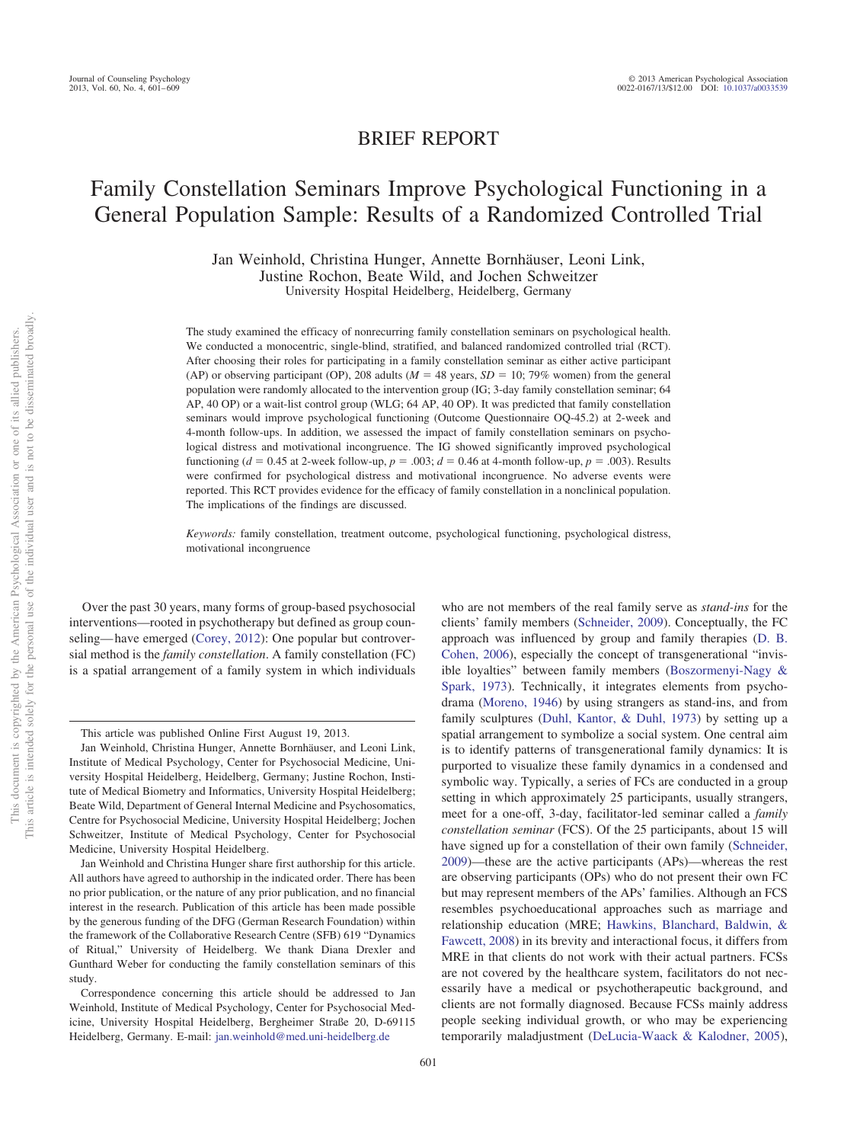## BRIEF REPORT

# Family Constellation Seminars Improve Psychological Functioning in a General Population Sample: Results of a Randomized Controlled Trial

Jan Weinhold, Christina Hunger, Annette Bornhäuser, Leoni Link, Justine Rochon, Beate Wild, and Jochen Schweitzer University Hospital Heidelberg, Heidelberg, Germany

The study examined the efficacy of nonrecurring family constellation seminars on psychological health. We conducted a monocentric, single-blind, stratified, and balanced randomized controlled trial (RCT). After choosing their roles for participating in a family constellation seminar as either active participant (AP) or observing participant (OP), 208 adults ( $M = 48$  years,  $SD = 10$ ; 79% women) from the general population were randomly allocated to the intervention group (IG; 3-day family constellation seminar; 64 AP, 40 OP) or a wait-list control group (WLG; 64 AP, 40 OP). It was predicted that family constellation seminars would improve psychological functioning (Outcome Questionnaire OQ-45.2) at 2-week and 4-month follow-ups. In addition, we assessed the impact of family constellation seminars on psychological distress and motivational incongruence. The IG showed significantly improved psychological functioning  $(d = 0.45 \text{ at } 2\text{-week}$  follow-up,  $p = .003$ ;  $d = 0.46 \text{ at } 4\text{-month}$  follow-up,  $p = .003$ ). Results were confirmed for psychological distress and motivational incongruence. No adverse events were reported. This RCT provides evidence for the efficacy of family constellation in a nonclinical population. The implications of the findings are discussed.

*Keywords:* family constellation, treatment outcome, psychological functioning, psychological distress, motivational incongruence

Over the past 30 years, many forms of group-based psychosocial interventions—rooted in psychotherapy but defined as group counseling—have emerged [\(Corey, 2012\)](#page-7-0): One popular but controversial method is the *family constellation*. A family constellation (FC) is a spatial arrangement of a family system in which individuals

who are not members of the real family serve as *stand-ins* for the clients' family members [\(Schneider, 2009\)](#page-8-0). Conceptually, the FC approach was influenced by group and family therapies [\(D. B.](#page-7-1) [Cohen, 2006\)](#page-7-1), especially the concept of transgenerational "invisible loyalties" between family members [\(Boszormenyi-Nagy &](#page-7-2) [Spark, 1973\)](#page-7-2). Technically, it integrates elements from psychodrama [\(Moreno, 1946\)](#page-8-1) by using strangers as stand-ins, and from family sculptures [\(Duhl, Kantor, & Duhl, 1973\)](#page-7-3) by setting up a spatial arrangement to symbolize a social system. One central aim is to identify patterns of transgenerational family dynamics: It is purported to visualize these family dynamics in a condensed and symbolic way. Typically, a series of FCs are conducted in a group setting in which approximately 25 participants, usually strangers, meet for a one-off, 3-day, facilitator-led seminar called a *family constellation seminar* (FCS). Of the 25 participants, about 15 will have signed up for a constellation of their own family [\(Schneider,](#page-8-0) [2009\)](#page-8-0)—these are the active participants (APs)—whereas the rest are observing participants (OPs) who do not present their own FC but may represent members of the APs' families. Although an FCS resembles psychoeducational approaches such as marriage and relationship education (MRE; [Hawkins, Blanchard, Baldwin, &](#page-7-4) [Fawcett, 2008\)](#page-7-4) in its brevity and interactional focus, it differs from MRE in that clients do not work with their actual partners. FCSs are not covered by the healthcare system, facilitators do not necessarily have a medical or psychotherapeutic background, and clients are not formally diagnosed. Because FCSs mainly address people seeking individual growth, or who may be experiencing temporarily maladjustment [\(DeLucia-Waack & Kalodner, 2005\)](#page-7-5),

This article was published Online First August 19, 2013.

Jan Weinhold, Christina Hunger, Annette Bornhäuser, and Leoni Link, Institute of Medical Psychology, Center for Psychosocial Medicine, University Hospital Heidelberg, Heidelberg, Germany; Justine Rochon, Institute of Medical Biometry and Informatics, University Hospital Heidelberg; Beate Wild, Department of General Internal Medicine and Psychosomatics, Centre for Psychosocial Medicine, University Hospital Heidelberg; Jochen Schweitzer, Institute of Medical Psychology, Center for Psychosocial Medicine, University Hospital Heidelberg.

Jan Weinhold and Christina Hunger share first authorship for this article. All authors have agreed to authorship in the indicated order. There has been no prior publication, or the nature of any prior publication, and no financial interest in the research. Publication of this article has been made possible by the generous funding of the DFG (German Research Foundation) within the framework of the Collaborative Research Centre (SFB) 619 "Dynamics of Ritual," University of Heidelberg. We thank Diana Drexler and Gunthard Weber for conducting the family constellation seminars of this study.

Correspondence concerning this article should be addressed to Jan Weinhold, Institute of Medical Psychology, Center for Psychosocial Medicine, University Hospital Heidelberg, Bergheimer Straße 20, D-69115 Heidelberg, Germany. E-mail: [jan.weinhold@med.uni-heidelberg.de](mailto:jan.weinhold@med.uni-heidelberg.de)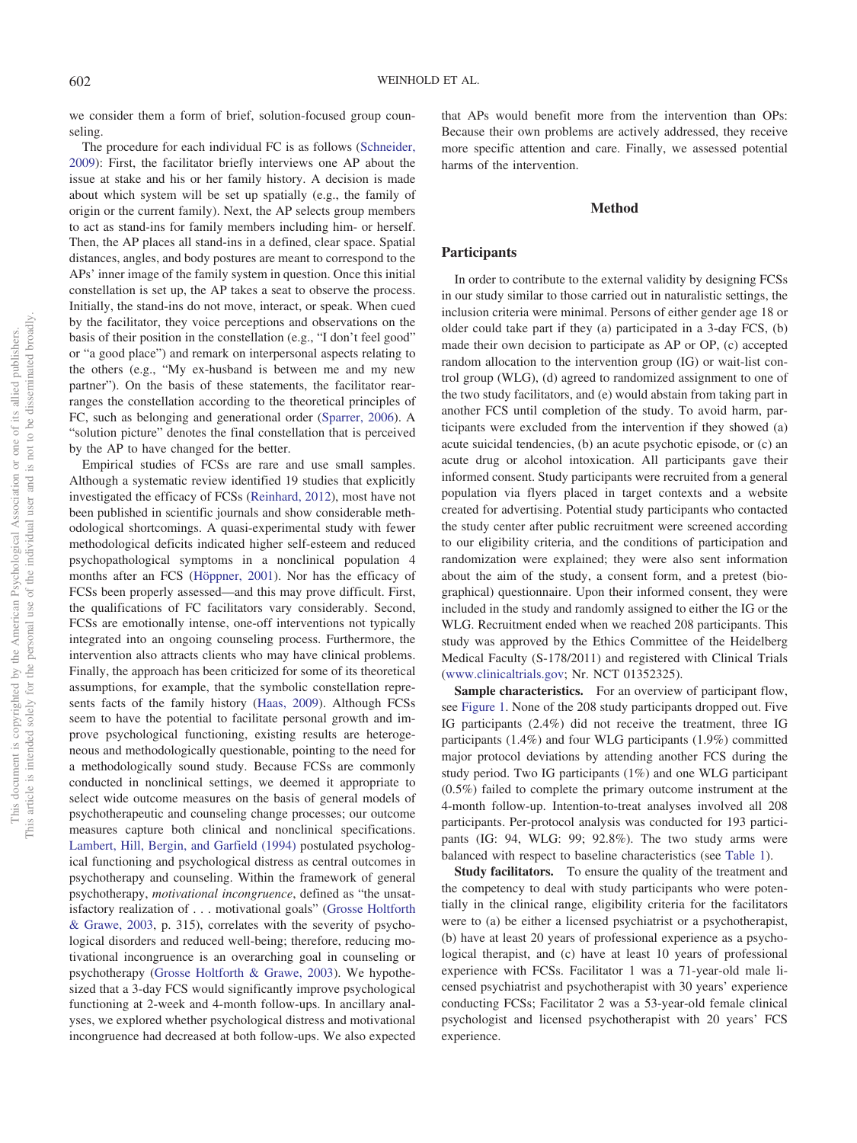we consider them a form of brief, solution-focused group counseling.

The procedure for each individual FC is as follows [\(Schneider,](#page-8-0) [2009\)](#page-8-0): First, the facilitator briefly interviews one AP about the issue at stake and his or her family history. A decision is made about which system will be set up spatially (e.g., the family of origin or the current family). Next, the AP selects group members to act as stand-ins for family members including him- or herself. Then, the AP places all stand-ins in a defined, clear space. Spatial distances, angles, and body postures are meant to correspond to the APs' inner image of the family system in question. Once this initial constellation is set up, the AP takes a seat to observe the process. Initially, the stand-ins do not move, interact, or speak. When cued by the facilitator, they voice perceptions and observations on the basis of their position in the constellation (e.g., "I don't feel good" or "a good place") and remark on interpersonal aspects relating to the others (e.g., "My ex-husband is between me and my new partner"). On the basis of these statements, the facilitator rearranges the constellation according to the theoretical principles of FC, such as belonging and generational order [\(Sparrer, 2006\)](#page-8-2). A "solution picture" denotes the final constellation that is perceived by the AP to have changed for the better.

Empirical studies of FCSs are rare and use small samples. Although a systematic review identified 19 studies that explicitly investigated the efficacy of FCSs [\(Reinhard, 2012\)](#page-8-3), most have not been published in scientific journals and show considerable methodological shortcomings. A quasi-experimental study with fewer methodological deficits indicated higher self-esteem and reduced psychopathological symptoms in a nonclinical population 4 months after an FCS [\(Höppner, 2001\)](#page-7-6). Nor has the efficacy of FCSs been properly assessed—and this may prove difficult. First, the qualifications of FC facilitators vary considerably. Second, FCSs are emotionally intense, one-off interventions not typically integrated into an ongoing counseling process. Furthermore, the intervention also attracts clients who may have clinical problems. Finally, the approach has been criticized for some of its theoretical assumptions, for example, that the symbolic constellation represents facts of the family history [\(Haas, 2009\)](#page-7-7). Although FCSs seem to have the potential to facilitate personal growth and improve psychological functioning, existing results are heterogeneous and methodologically questionable, pointing to the need for a methodologically sound study. Because FCSs are commonly conducted in nonclinical settings, we deemed it appropriate to select wide outcome measures on the basis of general models of psychotherapeutic and counseling change processes; our outcome measures capture both clinical and nonclinical specifications. [Lambert, Hill, Bergin, and Garfield \(1994\)](#page-7-8) postulated psychological functioning and psychological distress as central outcomes in psychotherapy and counseling. Within the framework of general psychotherapy, *motivational incongruence*, defined as "the unsatisfactory realization of... motivational goals" [\(Grosse Holtforth](#page-7-9) [& Grawe, 2003,](#page-7-9) p. 315), correlates with the severity of psychological disorders and reduced well-being; therefore, reducing motivational incongruence is an overarching goal in counseling or psychotherapy [\(Grosse Holtforth & Grawe, 2003\)](#page-7-9). We hypothesized that a 3-day FCS would significantly improve psychological functioning at 2-week and 4-month follow-ups. In ancillary analyses, we explored whether psychological distress and motivational incongruence had decreased at both follow-ups. We also expected that APs would benefit more from the intervention than OPs: Because their own problems are actively addressed, they receive more specific attention and care. Finally, we assessed potential harms of the intervention.

#### **Method**

## **Participants**

In order to contribute to the external validity by designing FCSs in our study similar to those carried out in naturalistic settings, the inclusion criteria were minimal. Persons of either gender age 18 or older could take part if they (a) participated in a 3-day FCS, (b) made their own decision to participate as AP or OP, (c) accepted random allocation to the intervention group (IG) or wait-list control group (WLG), (d) agreed to randomized assignment to one of the two study facilitators, and (e) would abstain from taking part in another FCS until completion of the study. To avoid harm, participants were excluded from the intervention if they showed (a) acute suicidal tendencies, (b) an acute psychotic episode, or (c) an acute drug or alcohol intoxication. All participants gave their informed consent. Study participants were recruited from a general population via flyers placed in target contexts and a website created for advertising. Potential study participants who contacted the study center after public recruitment were screened according to our eligibility criteria, and the conditions of participation and randomization were explained; they were also sent information about the aim of the study, a consent form, and a pretest (biographical) questionnaire. Upon their informed consent, they were included in the study and randomly assigned to either the IG or the WLG. Recruitment ended when we reached 208 participants. This study was approved by the Ethics Committee of the Heidelberg Medical Faculty (S-178/2011) and registered with Clinical Trials [\(www.clinicaltrials.gov;](http://www.clinicaltrials.gov) Nr. NCT 01352325).

Sample characteristics. For an overview of participant flow, see [Figure 1.](#page-2-0) None of the 208 study participants dropped out. Five IG participants (2.4%) did not receive the treatment, three IG participants (1.4%) and four WLG participants (1.9%) committed major protocol deviations by attending another FCS during the study period. Two IG participants (1%) and one WLG participant (0.5%) failed to complete the primary outcome instrument at the 4-month follow-up. Intention-to-treat analyses involved all 208 participants. Per-protocol analysis was conducted for 193 participants (IG: 94, WLG: 99; 92.8%). The two study arms were balanced with respect to baseline characteristics (see [Table 1\)](#page-3-0).

**Study facilitators.** To ensure the quality of the treatment and the competency to deal with study participants who were potentially in the clinical range, eligibility criteria for the facilitators were to (a) be either a licensed psychiatrist or a psychotherapist, (b) have at least 20 years of professional experience as a psychological therapist, and (c) have at least 10 years of professional experience with FCSs. Facilitator 1 was a 71-year-old male licensed psychiatrist and psychotherapist with 30 years' experience conducting FCSs; Facilitator 2 was a 53-year-old female clinical psychologist and licensed psychotherapist with 20 years' FCS experience.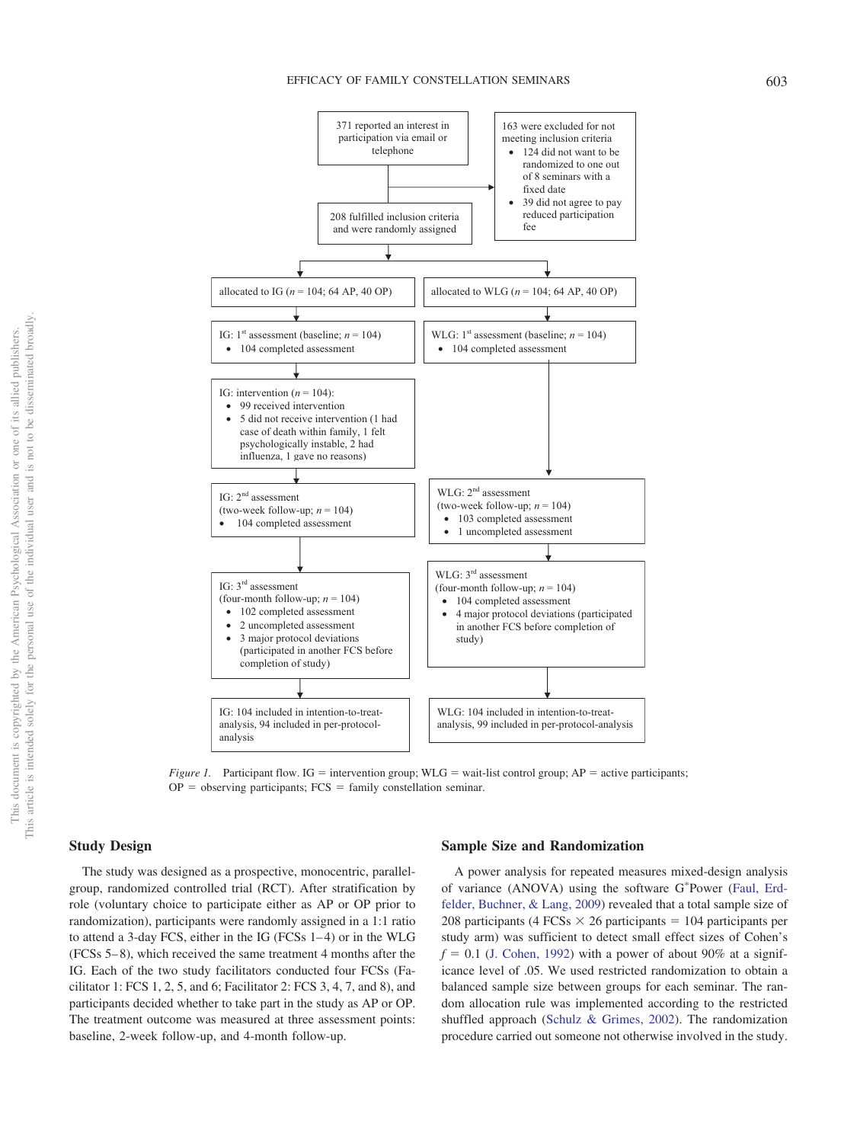

<span id="page-2-0"></span>*Figure 1.* Participant flow. IG = intervention group; WLG = wait-list control group;  $AP =$  active participants;  $OP =$  observing participants;  $FCS =$  family constellation seminar.

## **Study Design**

The study was designed as a prospective, monocentric, parallelgroup, randomized controlled trial (RCT). After stratification by role (voluntary choice to participate either as AP or OP prior to randomization), participants were randomly assigned in a 1:1 ratio to attend a 3-day FCS, either in the IG (FCSs 1–4) or in the WLG (FCSs 5–8), which received the same treatment 4 months after the IG. Each of the two study facilitators conducted four FCSs (Facilitator 1: FCS 1, 2, 5, and 6; Facilitator 2: FCS 3, 4, 7, and 8), and participants decided whether to take part in the study as AP or OP. The treatment outcome was measured at three assessment points: baseline, 2-week follow-up, and 4-month follow-up.

#### **Sample Size and Randomization**

A power analysis for repeated measures mixed-design analysis of variance (ANOVA) using the software G Power [\(Faul, Erd](#page-7-10)[felder, Buchner, & Lang, 2009\)](#page-7-10) revealed that a total sample size of 208 participants (4 FCSs  $\times$  26 participants = 104 participants per study arm) was sufficient to detect small effect sizes of Cohen's  $f = 0.1$  [\(J. Cohen, 1992\)](#page-7-11) with a power of about 90% at a significance level of .05. We used restricted randomization to obtain a balanced sample size between groups for each seminar. The random allocation rule was implemented according to the restricted shuffled approach [\(Schulz & Grimes, 2002\)](#page-8-4). The randomization procedure carried out someone not otherwise involved in the study.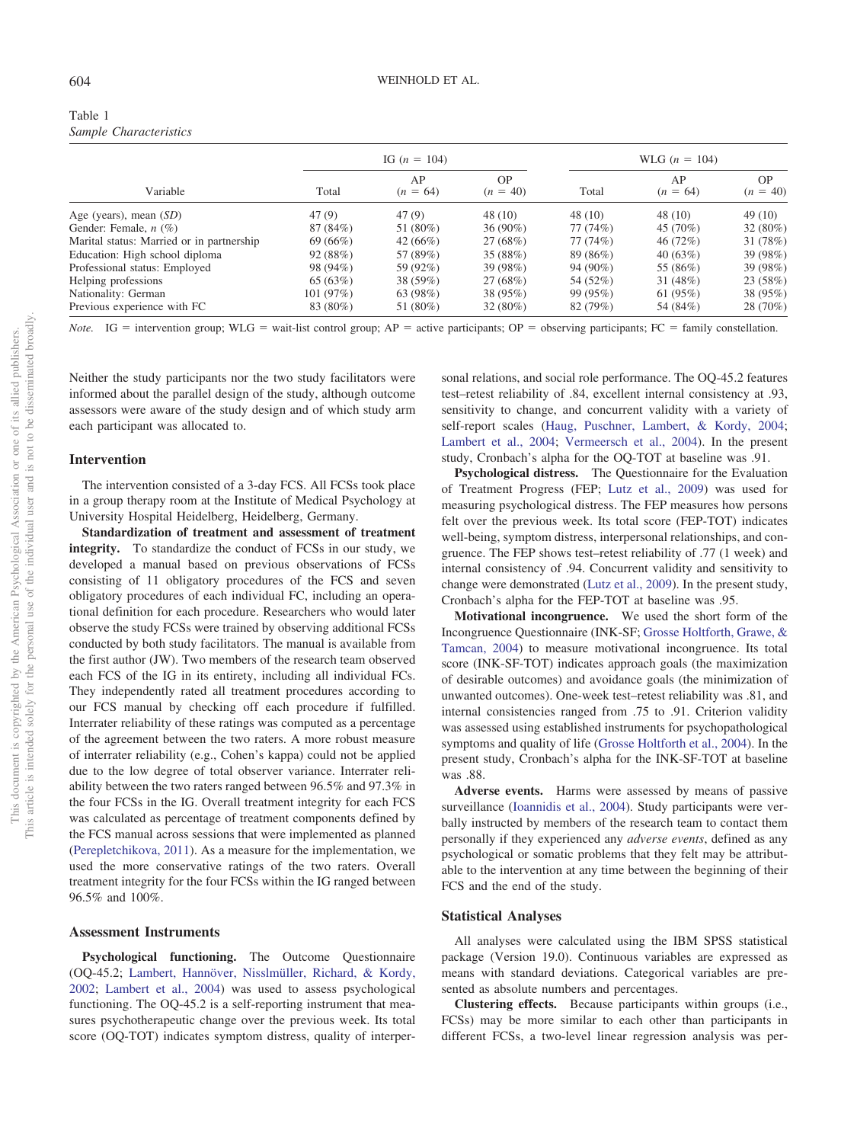<span id="page-3-0"></span>

| Table 1 |                        |
|---------|------------------------|
|         | Sample Characteristics |

|                                           |          | IG $(n = 104)$   |                   | WLG $(n = 104)$ |                  |                   |
|-------------------------------------------|----------|------------------|-------------------|-----------------|------------------|-------------------|
| Variable                                  | Total    | AP<br>$(n = 64)$ | OP.<br>$(n = 40)$ | Total           | AP<br>$(n = 64)$ | OP.<br>$(n = 40)$ |
| Age (years), mean $(SD)$                  | 47(9)    | 47(9)            | 48 (10)           | 48 (10)         | 48 (10)          | 49 (10)           |
| Gender: Female, $n$ (%)                   | 87 (84%) | 51 (80%)         | $36(90\%)$        | 77(74%)         | 45 (70%)         | $32(80\%)$        |
| Marital status: Married or in partnership | 69(66%)  | $42(66\%)$       | 27(68%)           | 77(74%)         | 46(72%)          | 31 (78%)          |
| Education: High school diploma            | 92(88%)  | 57 (89%)         | 35(88%)           | 89 (86%)        | 40(63%)          | 39 (98%)          |
| Professional status: Employed             | 98 (94%) | 59 (92%)         | 39 (98%)          | 94 (90%)        | 55 (86%)         | 39 (98%)          |
| Helping professions                       | 65(63%)  | 38 (59%)         | 27(68%)           | 54 (52%)        | 31(48%)          | 23 (58%)          |
| Nationality: German                       | 101(97%) | 63 (98%)         | 38 (95%)          | 99 (95%)        | 61(95%)          | 38 (95%)          |
| Previous experience with FC               | 83 (80%) | 51 (80%)         | $32(80\%)$        | 82 (79%)        | 54 (84%)         | 28 (70%)          |

*Note.* IG = intervention group; WLG = wait-list control group;  $AP =$  active participants;  $OP =$  observing participants;  $FC =$  family constellation.

Neither the study participants nor the two study facilitators were informed about the parallel design of the study, although outcome assessors were aware of the study design and of which study arm each participant was allocated to.

#### **Intervention**

The intervention consisted of a 3-day FCS. All FCSs took place in a group therapy room at the Institute of Medical Psychology at University Hospital Heidelberg, Heidelberg, Germany.

**Standardization of treatment and assessment of treatment integrity.** To standardize the conduct of FCSs in our study, we developed a manual based on previous observations of FCSs consisting of 11 obligatory procedures of the FCS and seven obligatory procedures of each individual FC, including an operational definition for each procedure. Researchers who would later observe the study FCSs were trained by observing additional FCSs conducted by both study facilitators. The manual is available from the first author (JW). Two members of the research team observed each FCS of the IG in its entirety, including all individual FCs. They independently rated all treatment procedures according to our FCS manual by checking off each procedure if fulfilled. Interrater reliability of these ratings was computed as a percentage of the agreement between the two raters. A more robust measure of interrater reliability (e.g., Cohen's kappa) could not be applied due to the low degree of total observer variance. Interrater reliability between the two raters ranged between 96.5% and 97.3% in the four FCSs in the IG. Overall treatment integrity for each FCS was calculated as percentage of treatment components defined by the FCS manual across sessions that were implemented as planned [\(Perepletchikova, 2011\)](#page-8-5). As a measure for the implementation, we used the more conservative ratings of the two raters. Overall treatment integrity for the four FCSs within the IG ranged between 96.5% and 100%.

#### **Assessment Instruments**

**Psychological functioning.** The Outcome Questionnaire (OQ-45.2; [Lambert, Hannöver, Nisslmüller, Richard, & Kordy,](#page-7-12) [2002;](#page-7-12) [Lambert et al., 2004\)](#page-7-13) was used to assess psychological functioning. The OQ-45.2 is a self-reporting instrument that measures psychotherapeutic change over the previous week. Its total score (OQ-TOT) indicates symptom distress, quality of interper-

sonal relations, and social role performance. The OQ-45.2 features test–retest reliability of .84, excellent internal consistency at .93, sensitivity to change, and concurrent validity with a variety of self-report scales [\(Haug, Puschner, Lambert, & Kordy, 2004;](#page-7-14) [Lambert et al., 2004;](#page-7-13) [Vermeersch et al., 2004\)](#page-8-6). In the present study, Cronbach's alpha for the OQ-TOT at baseline was .91.

**Psychological distress.** The Questionnaire for the Evaluation of Treatment Progress (FEP; [Lutz et al., 2009\)](#page-8-7) was used for measuring psychological distress. The FEP measures how persons felt over the previous week. Its total score (FEP-TOT) indicates well-being, symptom distress, interpersonal relationships, and congruence. The FEP shows test–retest reliability of .77 (1 week) and internal consistency of .94. Concurrent validity and sensitivity to change were demonstrated [\(Lutz et al., 2009\)](#page-8-7). In the present study, Cronbach's alpha for the FEP-TOT at baseline was .95.

**Motivational incongruence.** We used the short form of the Incongruence Questionnaire (INK-SF; [Grosse Holtforth, Grawe, &](#page-7-15) [Tamcan, 2004\)](#page-7-15) to measure motivational incongruence. Its total score (INK-SF-TOT) indicates approach goals (the maximization of desirable outcomes) and avoidance goals (the minimization of unwanted outcomes). One-week test–retest reliability was .81, and internal consistencies ranged from .75 to .91. Criterion validity was assessed using established instruments for psychopathological symptoms and quality of life [\(Grosse Holtforth et al., 2004\)](#page-7-15). In the present study, Cronbach's alpha for the INK-SF-TOT at baseline was .88.

**Adverse events.** Harms were assessed by means of passive surveillance [\(Ioannidis et al., 2004\)](#page-7-16). Study participants were verbally instructed by members of the research team to contact them personally if they experienced any *adverse events*, defined as any psychological or somatic problems that they felt may be attributable to the intervention at any time between the beginning of their FCS and the end of the study.

#### **Statistical Analyses**

All analyses were calculated using the IBM SPSS statistical package (Version 19.0). Continuous variables are expressed as means with standard deviations. Categorical variables are presented as absolute numbers and percentages.

**Clustering effects.** Because participants within groups (i.e., FCSs) may be more similar to each other than participants in different FCSs, a two-level linear regression analysis was per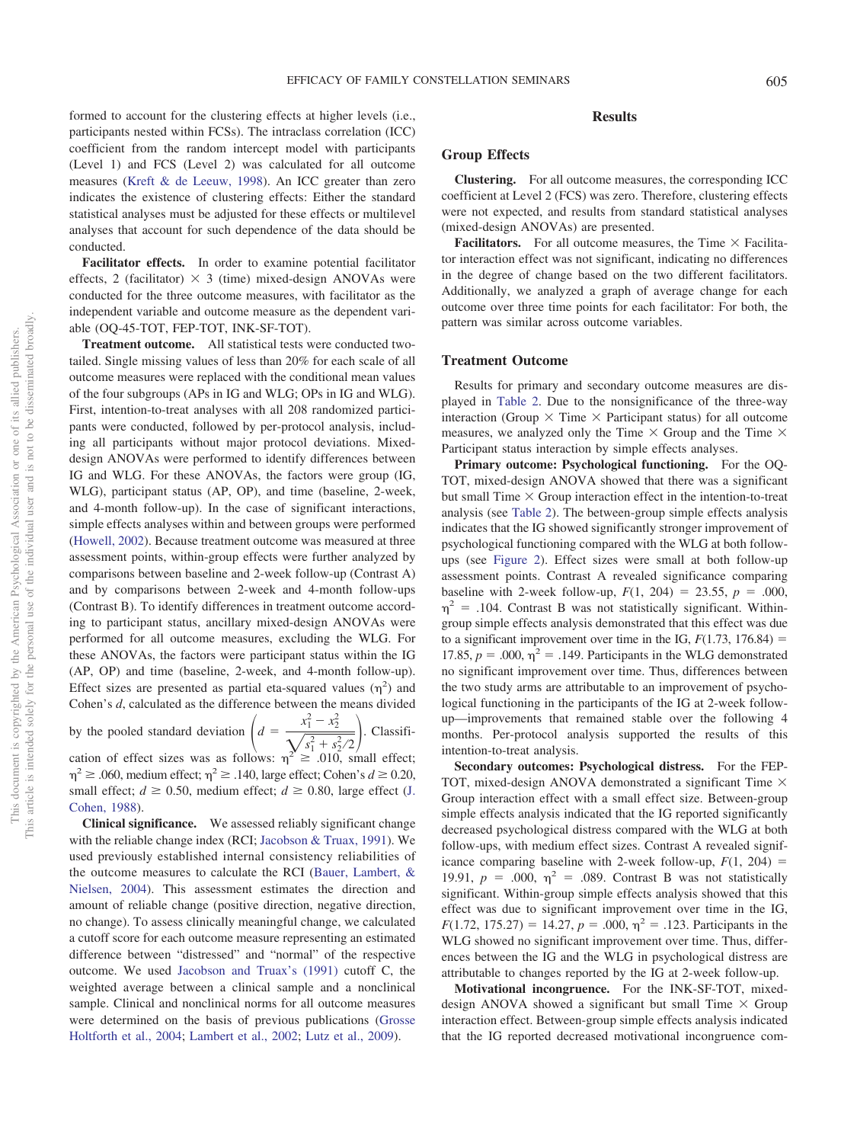formed to account for the clustering effects at higher levels (i.e., participants nested within FCSs). The intraclass correlation (ICC) coefficient from the random intercept model with participants (Level 1) and FCS (Level 2) was calculated for all outcome measures [\(Kreft & de Leeuw, 1998\)](#page-7-17). An ICC greater than zero indicates the existence of clustering effects: Either the standard statistical analyses must be adjusted for these effects or multilevel analyses that account for such dependence of the data should be conducted.

**Facilitator effects.** In order to examine potential facilitator effects, 2 (facilitator)  $\times$  3 (time) mixed-design ANOVAs were conducted for the three outcome measures, with facilitator as the independent variable and outcome measure as the dependent variable (OQ-45-TOT, FEP-TOT, INK-SF-TOT).

**Treatment outcome.** All statistical tests were conducted twotailed. Single missing values of less than 20% for each scale of all outcome measures were replaced with the conditional mean values of the four subgroups (APs in IG and WLG; OPs in IG and WLG). First, intention-to-treat analyses with all 208 randomized participants were conducted, followed by per-protocol analysis, including all participants without major protocol deviations. Mixeddesign ANOVAs were performed to identify differences between IG and WLG. For these ANOVAs, the factors were group (IG, WLG), participant status (AP, OP), and time (baseline, 2-week, and 4-month follow-up). In the case of significant interactions, simple effects analyses within and between groups were performed [\(Howell, 2002\)](#page-7-18). Because treatment outcome was measured at three assessment points, within-group effects were further analyzed by comparisons between baseline and 2-week follow-up (Contrast A) and by comparisons between 2-week and 4-month follow-ups (Contrast B). To identify differences in treatment outcome according to participant status, ancillary mixed-design ANOVAs were performed for all outcome measures, excluding the WLG. For these ANOVAs, the factors were participant status within the IG (AP, OP) and time (baseline, 2-week, and 4-month follow-up). Effect sizes are presented as partial eta-squared values  $(\eta^2)$  and Cohen's *d*, calculated as the difference between the means divided

by the pooled standard deviation  $\left(d = \frac{x_1^2 - x_2^2}{\sqrt{s_1^2 + s_2^2}}\right)$  $\frac{x_1^2 - x_2^2}{\sqrt{s_1^2 + s_2^2/2}}$ . Classifi-

cation of effect sizes was as follows:  $\eta^{2} \geq .010$ , small effect;  $\eta^2 \geq 0.060$ , medium effect;  $\eta^2 \geq 0.140$ , large effect; Cohen's  $d \geq 0.20$ , small effect;  $d \ge 0.50$ , medium effect;  $d \ge 0.80$ , large effect [\(J.](#page-7-19) [Cohen, 1988\)](#page-7-19).

**Clinical significance.** We assessed reliably significant change with the reliable change index (RCI; [Jacobson & Truax, 1991\)](#page-7-20). We used previously established internal consistency reliabilities of the outcome measures to calculate the RCI [\(Bauer, Lambert, &](#page-7-21) [Nielsen, 2004\)](#page-7-21). This assessment estimates the direction and amount of reliable change (positive direction, negative direction, no change). To assess clinically meaningful change, we calculated a cutoff score for each outcome measure representing an estimated difference between "distressed" and "normal" of the respective outcome. We used [Jacobson and Truax's \(1991\)](#page-7-20) cutoff C, the weighted average between a clinical sample and a nonclinical sample. Clinical and nonclinical norms for all outcome measures were determined on the basis of previous publications [\(Grosse](#page-7-15) [Holtforth et al., 2004;](#page-7-15) [Lambert et al., 2002;](#page-7-12) [Lutz et al., 2009\)](#page-8-7).

### **Results**

#### **Group Effects**

**Clustering.** For all outcome measures, the corresponding ICC coefficient at Level 2 (FCS) was zero. Therefore, clustering effects were not expected, and results from standard statistical analyses (mixed-design ANOVAs) are presented.

**Facilitators.** For all outcome measures, the Time  $\times$  Facilitator interaction effect was not significant, indicating no differences in the degree of change based on the two different facilitators. Additionally, we analyzed a graph of average change for each outcome over three time points for each facilitator: For both, the pattern was similar across outcome variables.

#### **Treatment Outcome**

Results for primary and secondary outcome measures are displayed in [Table 2.](#page-5-0) Due to the nonsignificance of the three-way interaction (Group  $\times$  Time  $\times$  Participant status) for all outcome measures, we analyzed only the Time  $\times$  Group and the Time  $\times$ Participant status interaction by simple effects analyses.

**Primary outcome: Psychological functioning.** For the OQ-TOT, mixed-design ANOVA showed that there was a significant but small Time  $\times$  Group interaction effect in the intention-to-treat analysis (see [Table 2\)](#page-5-0). The between-group simple effects analysis indicates that the IG showed significantly stronger improvement of psychological functioning compared with the WLG at both followups (see [Figure 2\)](#page-5-1). Effect sizes were small at both follow-up assessment points. Contrast A revealed significance comparing baseline with 2-week follow-up,  $F(1, 204) = 23.55$ ,  $p = .000$ ,  $\eta^2$  = .104. Contrast B was not statistically significant. Withingroup simple effects analysis demonstrated that this effect was due to a significant improvement over time in the IG,  $F(1.73, 176.84) =$ 17.85,  $p = .000$ ,  $\eta^2 = .149$ . Participants in the WLG demonstrated no significant improvement over time. Thus, differences between the two study arms are attributable to an improvement of psychological functioning in the participants of the IG at 2-week followup—improvements that remained stable over the following 4 months. Per-protocol analysis supported the results of this intention-to-treat analysis.

**Secondary outcomes: Psychological distress.** For the FEP-TOT, mixed-design ANOVA demonstrated a significant Time  $\times$ Group interaction effect with a small effect size. Between-group simple effects analysis indicated that the IG reported significantly decreased psychological distress compared with the WLG at both follow-ups, with medium effect sizes. Contrast A revealed significance comparing baseline with 2-week follow-up,  $F(1, 204) =$ 19.91,  $p = .000$ ,  $\eta^2 = .089$ . Contrast B was not statistically significant. Within-group simple effects analysis showed that this effect was due to significant improvement over time in the IG,  $F(1.72, 175.27) = 14.27, p = .000, \eta^2 = .123$ . Participants in the WLG showed no significant improvement over time. Thus, differences between the IG and the WLG in psychological distress are attributable to changes reported by the IG at 2-week follow-up.

**Motivational incongruence.** For the INK-SF-TOT, mixeddesign ANOVA showed a significant but small Time  $\times$  Group interaction effect. Between-group simple effects analysis indicated that the IG reported decreased motivational incongruence com-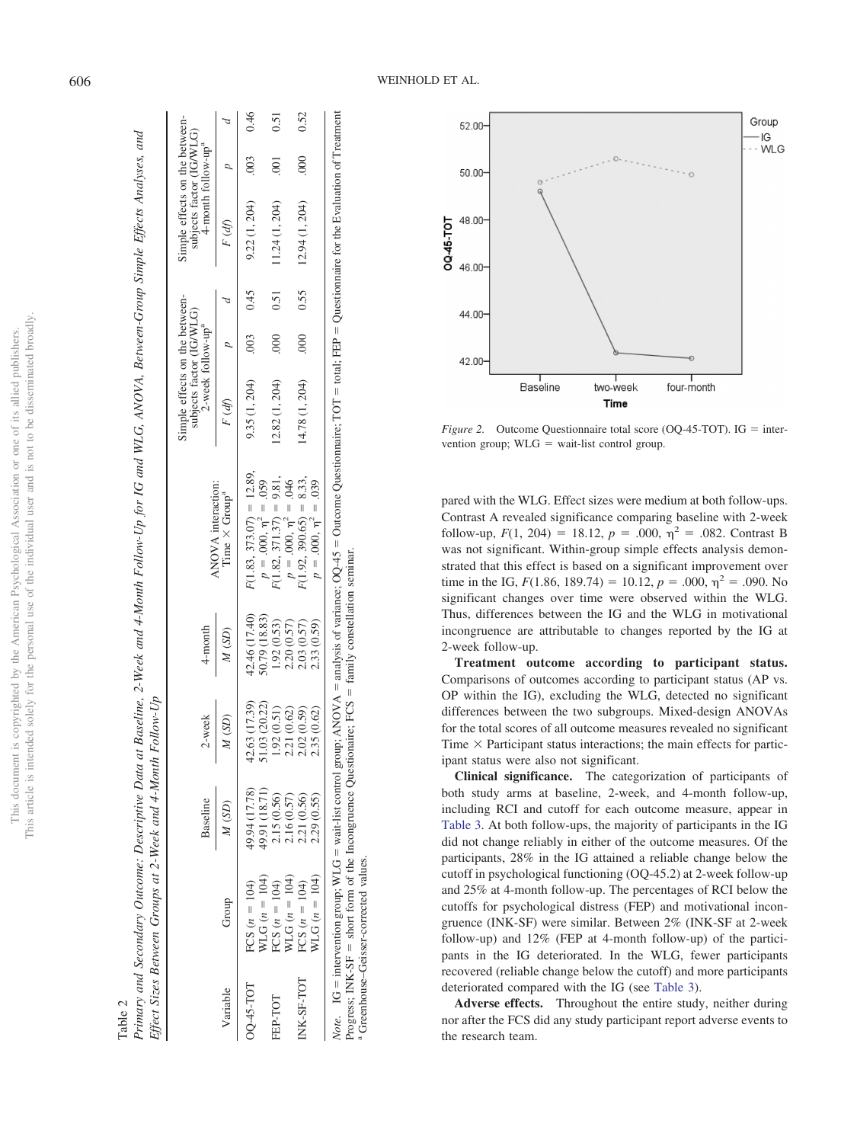<span id="page-5-0"></span>

| 1 |  |
|---|--|
|   |  |
|   |  |
|   |  |
|   |  |
|   |  |
|   |  |
| ٥ |  |
|   |  |
|   |  |
|   |  |
|   |  |
| ڀ |  |
|   |  |
|   |  |
| c |  |
|   |  |
|   |  |
|   |  |
|   |  |
|   |  |
|   |  |

| ייני<br>ה<br>֚֚֚֚֚֚֚֚֡֘֕׀֦֧֚֚֜֜֜֜֜֝֜֜ |                                  |
|---------------------------------------|----------------------------------|
|                                       |                                  |
| í<br>ĺ                                |                                  |
| $\frac{1}{2}$                         |                                  |
| - < - - - - しょ-- - -<br>:<br>:<br>:   |                                  |
| $\frac{1}{2}$<br>$\zeta$              |                                  |
| , את 1 של 1 וויר                      |                                  |
| ֚֡֝<br>֧֦֦֦֦֦֪֦֖֚֚֚֚֚֚֝֝֝֝֬֝֝֝֬֝֝     |                                  |
| ֚֚֡                                   |                                  |
| i                                     |                                  |
|                                       |                                  |
| $\overline{a}$                        | $\overline{1}$<br>$\overline{a}$ |
| ata at 1<br>l<br>ļ                    | i                                |
| ì<br>ï                                |                                  |
|                                       | $\overline{a}$                   |
| ļ                                     |                                  |
|                                       | I                                |
| į                                     |                                  |
| i<br>ļ                                |                                  |

|                  |                                                                                                    |               |               |               |                                                                                                                                                                                               | Simple effects on the between-<br>subjects factor (IG/WLG) |                |      | Simple effects on the between-<br>subjects factor (IG/WLG) |                 |      |
|------------------|----------------------------------------------------------------------------------------------------|---------------|---------------|---------------|-----------------------------------------------------------------------------------------------------------------------------------------------------------------------------------------------|------------------------------------------------------------|----------------|------|------------------------------------------------------------|-----------------|------|
|                  |                                                                                                    | Baseline      | $2$ -week     | 4-month       | ANOVA interaction:                                                                                                                                                                            | 2-week follow-up <sup>*</sup>                              |                |      | 4-month follow-up <sup>4</sup>                             |                 |      |
| Variable         | Group                                                                                              | M(SD)         | M(SD)         | M(SD)         | Time $\times$ Group <sup>a</sup>                                                                                                                                                              | F (df)                                                     |                |      | F (df)                                                     |                 |      |
| <b>DOL-5+DOL</b> | FCS $(n = 104)$                                                                                    | 49.94 (17.78) | 42.63 (17.39) | 42.46 (17.40) | $F(1.83, 373.07) = 12.89,$<br>$p = .000, \eta^2 = .059$                                                                                                                                       | 9.35 (1, 204)                                              | $0.003$ $0.45$ |      | 9.22 (1, 204)                                              | $\frac{003}{2}$ | 0.46 |
|                  | $WLG (n = 104)$                                                                                    | (18.71)       | 51.03 (20.22) | 0.79(18.83)   |                                                                                                                                                                                               |                                                            |                |      |                                                            |                 |      |
| FEP-TOT          | (104)                                                                                              | 2.15 (0.56)   | 1.92(0.51)    | 1.92 (0.53)   | $(1.82, 371.37) = 9.81,$                                                                                                                                                                      | 12.82 (1, 204)                                             | $000$ .        | 0.51 | 11.24 (1, 204)                                             | $\overline{00}$ | 0.51 |
|                  | $WLG (n = 104)$                                                                                    | 2.16(0.57)    | 2.21 (0.62)   | 2.20 (0.57)   | $p = .000, \eta^2 = .046$                                                                                                                                                                     |                                                            |                |      |                                                            |                 |      |
| INK-SF-TOT       | FCS $(n = 104)$                                                                                    | 2.21 (0.56)   | 2.02(0.59)    | 2.03 (0.57)   | $F(1.92, 390.65) = 8.33,$                                                                                                                                                                     | 14.78 (1, 204)                                             | 000            | 0.55 | 12.94 (1, 204)                                             | $000$ .         | 0.52 |
|                  | $NLG(n = 104)$                                                                                     | 2.29(0.55)    | 2.35 (0.62)   | 2.33 (0.59)   | $p = .000, \eta^2 = .039$                                                                                                                                                                     |                                                            |                |      |                                                            |                 |      |
|                  | Progress; INK-SF = short form of the Incongruence Questionaire; FCS = family constellation seminar |               |               |               | Note. $IG =$ intervention group; WLG = wait-list control group; ANOVA = analysis of variance; OQ-45 = Outcome Questionaaire; TOT = total; FEP = Questionnaire for the Evaluation of Treatment |                                                            |                |      |                                                            |                 |      |
|                  | <sup>a</sup> Greenhouse-Geisser-corrected values.                                                  |               |               |               |                                                                                                                                                                                               |                                                            |                |      |                                                            |                 |      |



<span id="page-5-1"></span>*Figure 2.* Outcome Questionnaire total score (OQ-45-TOT). IG = intervention group;  $WLG =$  wait-list control group.

pared with the WLG. Effect sizes were medium at both follow-ups. Contrast A revealed significance comparing baseline with 2-week follow-up,  $F(1, 204) = 18.12$ ,  $p = .000$ ,  $\eta^2 = .082$ . Contrast B was not significant. Within-group simple effects analysis demonstrated that this effect is based on a significant improvement over time in the IG,  $F(1.86, 189.74) = 10.12$ ,  $p = .000$ ,  $\eta^2 = .090$ . No significant changes over time were observed within the WLG. Thus, differences between the IG and the WLG in motivational incongruence are attributable to changes reported by the IG at 2-week follow-up.

**Treatment outcome according to participant status.** Comparisons of outcomes according to participant status (AP vs. OP within the IG), excluding the WLG, detected no significant differences between the two subgroups. Mixed-design ANOVAs for the total scores of all outcome measures revealed no significant Time  $\times$  Participant status interactions; the main effects for participant status were also not significant.

**Clinical significance.** The categorization of participants of both study arms at baseline, 2-week, and 4-month follow-up, including RCI and cutoff for each outcome measure, appear in [Table 3.](#page-6-0) At both follow-ups, the majority of participants in the IG did not change reliably in either of the outcome measures. Of the participants, 28% in the IG attained a reliable change below the cutoff in psychological functioning (OQ-45.2) at 2-week follow-up and 25% at 4-month follow-up. The percentages of RCI below the cutoffs for psychological distress (FEP) and motivational incongruence (INK-SF) were similar. Between 2% (INK-SF at 2-week follow-up) and 12% (FEP at 4-month follow-up) of the participants in the IG deteriorated. In the WLG, fewer participants recovered (reliable change below the cutoff) and more participants deteriorated compared with the IG (see [Table 3\)](#page-6-0).

**Adverse effects.** Throughout the entire study, neither during nor after the FCS did any study participant report adverse events to the research team.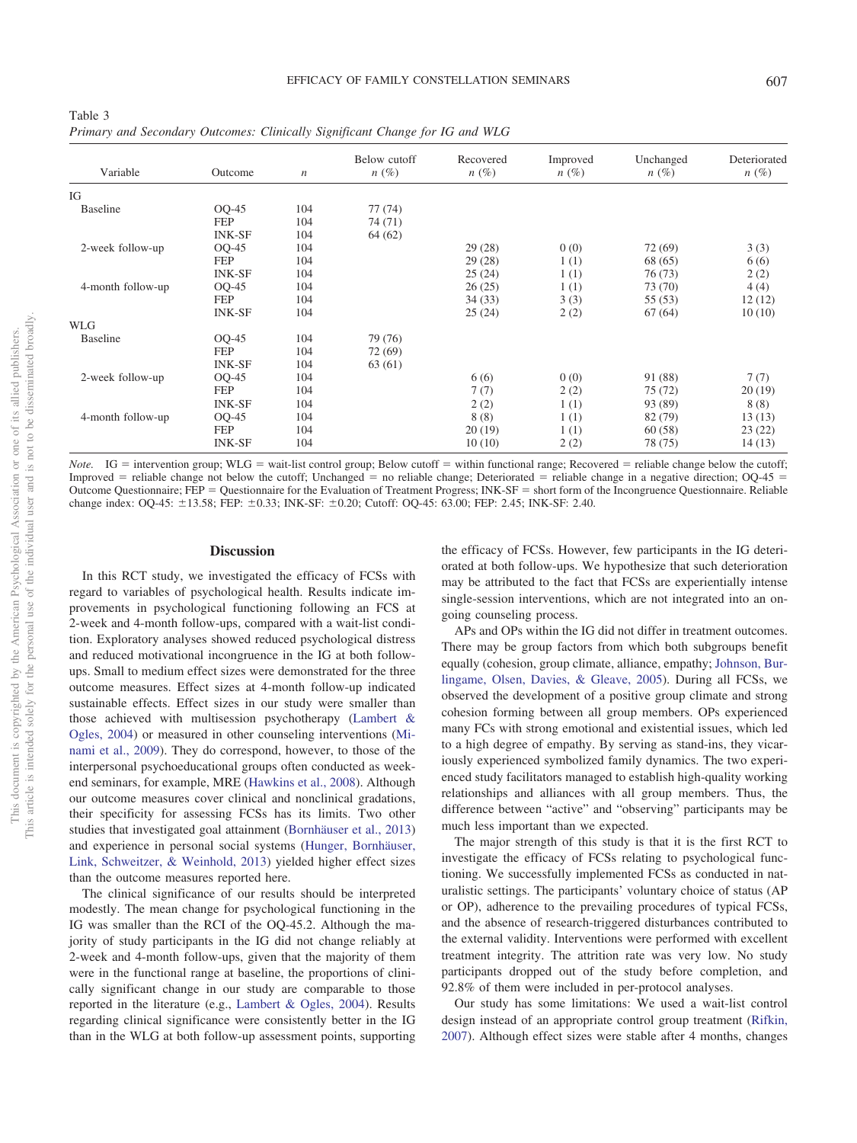<span id="page-6-0"></span>

| Table 3                                                                      |  |  |  |  |
|------------------------------------------------------------------------------|--|--|--|--|
| Primary and Secondary Outcomes: Clinically Significant Change for IG and WLG |  |  |  |  |

| Variable          | Outcome       | $\boldsymbol{n}$ | Below cutoff<br>$n(\%)$ | Recovered<br>$n(\%)$ | Improved<br>$n(\%)$ | Unchanged<br>$n(\%)$ | Deteriorated<br>$n(\%)$ |
|-------------------|---------------|------------------|-------------------------|----------------------|---------------------|----------------------|-------------------------|
| IG                |               |                  |                         |                      |                     |                      |                         |
| <b>Baseline</b>   | OQ-45         | 104              | 77(74)                  |                      |                     |                      |                         |
|                   | <b>FEP</b>    | 104              | 74 (71)                 |                      |                     |                      |                         |
|                   | <b>INK-SF</b> | 104              | 64(62)                  |                      |                     |                      |                         |
| 2-week follow-up  | OQ-45         | 104              |                         | 29(28)               | 0(0)                | 72 (69)              | 3(3)                    |
|                   | <b>FEP</b>    | 104              |                         | 29(28)               | 1(1)                | 68 (65)              | 6(6)                    |
|                   | <b>INK-SF</b> | 104              |                         | 25(24)               | 1(1)                | 76 (73)              | 2(2)                    |
| 4-month follow-up | OQ-45         | 104              |                         | 26(25)               | 1(1)                | 73 (70)              | 4(4)                    |
|                   | <b>FEP</b>    | 104              |                         | 34(33)               | 3(3)                | 55 (53)              | 12(12)                  |
|                   | <b>INK-SF</b> | 104              |                         | 25(24)               | 2(2)                | 67(64)               | 10(10)                  |
| <b>WLG</b>        |               |                  |                         |                      |                     |                      |                         |
| <b>Baseline</b>   | OQ-45         | 104              | 79 (76)                 |                      |                     |                      |                         |
|                   | <b>FEP</b>    | 104              | 72 (69)                 |                      |                     |                      |                         |
|                   | <b>INK-SF</b> | 104              | 63(61)                  |                      |                     |                      |                         |
| 2-week follow-up  | OQ-45         | 104              |                         | 6(6)                 | 0(0)                | 91 (88)              | 7(7)                    |
|                   | <b>FEP</b>    | 104              |                         | 7(7)                 | 2(2)                | 75 (72)              | 20(19)                  |
|                   | <b>INK-SF</b> | 104              |                         | 2(2)                 | 1(1)                | 93 (89)              | 8(8)                    |
| 4-month follow-up | OQ-45         | 104              |                         | 8(8)                 | 1(1)                | 82 (79)              | 13(13)                  |
|                   | <b>FEP</b>    | 104              |                         | 20(19)               | 1(1)                | 60(58)               | 23(22)                  |
|                   | <b>INK-SF</b> | 104              |                         | 10(10)               | 2(2)                | 78 (75)              | 14(13)                  |

*Note.* IG = intervention group; WLG = wait-list control group; Below cutoff = within functional range; Recovered = reliable change below the cutoff; Improved = reliable change not below the cutoff; Unchanged = no reliable change; Deteriorated = reliable change in a negative direction; OQ-45 Outcome Questionnaire; FEP = Questionnaire for the Evaluation of Treatment Progress; INK-SF = short form of the Incongruence Questionnaire. Reliable change index: OQ-45:  $\pm$ 13.58; FEP:  $\pm$ 0.33; INK-SF:  $\pm$ 0.20; Cutoff: OQ-45: 63.00; FEP: 2.45; INK-SF: 2.40.

#### **Discussion**

In this RCT study, we investigated the efficacy of FCSs with regard to variables of psychological health. Results indicate improvements in psychological functioning following an FCS at 2-week and 4-month follow-ups, compared with a wait-list condition. Exploratory analyses showed reduced psychological distress and reduced motivational incongruence in the IG at both followups. Small to medium effect sizes were demonstrated for the three outcome measures. Effect sizes at 4-month follow-up indicated sustainable effects. Effect sizes in our study were smaller than those achieved with multisession psychotherapy [\(Lambert &](#page-7-22) [Ogles, 2004\)](#page-7-22) or measured in other counseling interventions [\(Mi](#page-8-8)[nami et al., 2009\)](#page-8-8). They do correspond, however, to those of the interpersonal psychoeducational groups often conducted as weekend seminars, for example, MRE [\(Hawkins et al., 2008\)](#page-7-4). Although our outcome measures cover clinical and nonclinical gradations, their specificity for assessing FCSs has its limits. Two other studies that investigated goal attainment [\(Bornhäuser et al., 2013\)](#page-7-23) and experience in personal social systems [\(Hunger, Bornhäuser,](#page-7-24) [Link, Schweitzer, & Weinhold, 2013\)](#page-7-24) yielded higher effect sizes than the outcome measures reported here.

The clinical significance of our results should be interpreted modestly. The mean change for psychological functioning in the IG was smaller than the RCI of the OQ-45.2. Although the majority of study participants in the IG did not change reliably at 2-week and 4-month follow-ups, given that the majority of them were in the functional range at baseline, the proportions of clinically significant change in our study are comparable to those reported in the literature (e.g., [Lambert & Ogles, 2004\)](#page-7-22). Results regarding clinical significance were consistently better in the IG than in the WLG at both follow-up assessment points, supporting the efficacy of FCSs. However, few participants in the IG deteriorated at both follow-ups. We hypothesize that such deterioration may be attributed to the fact that FCSs are experientially intense single-session interventions, which are not integrated into an ongoing counseling process.

APs and OPs within the IG did not differ in treatment outcomes. There may be group factors from which both subgroups benefit equally (cohesion, group climate, alliance, empathy; [Johnson, Bur](#page-7-25)[lingame, Olsen, Davies, & Gleave, 2005\)](#page-7-25). During all FCSs, we observed the development of a positive group climate and strong cohesion forming between all group members. OPs experienced many FCs with strong emotional and existential issues, which led to a high degree of empathy. By serving as stand-ins, they vicariously experienced symbolized family dynamics. The two experienced study facilitators managed to establish high-quality working relationships and alliances with all group members. Thus, the difference between "active" and "observing" participants may be much less important than we expected.

The major strength of this study is that it is the first RCT to investigate the efficacy of FCSs relating to psychological functioning. We successfully implemented FCSs as conducted in naturalistic settings. The participants' voluntary choice of status (AP or OP), adherence to the prevailing procedures of typical FCSs, and the absence of research-triggered disturbances contributed to the external validity. Interventions were performed with excellent treatment integrity. The attrition rate was very low. No study participants dropped out of the study before completion, and 92.8% of them were included in per-protocol analyses.

Our study has some limitations: We used a wait-list control design instead of an appropriate control group treatment [\(Rifkin,](#page-8-9) [2007\)](#page-8-9). Although effect sizes were stable after 4 months, changes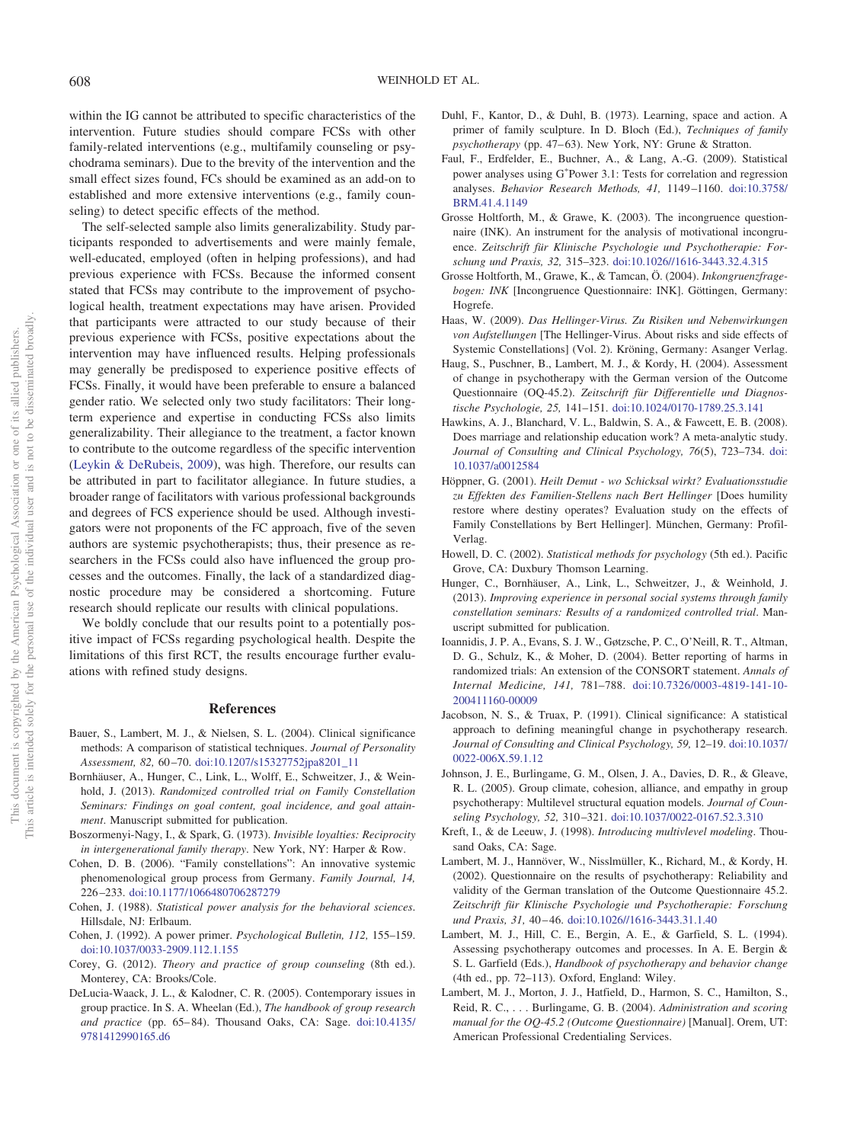<span id="page-7-22"></span>within the IG cannot be attributed to specific characteristics of the intervention. Future studies should compare FCSs with other family-related interventions (e.g., multifamily counseling or psychodrama seminars). Due to the brevity of the intervention and the small effect sizes found, FCs should be examined as an add-on to established and more extensive interventions (e.g., family counseling) to detect specific effects of the method.

The self-selected sample also limits generalizability. Study participants responded to advertisements and were mainly female, well-educated, employed (often in helping professions), and had previous experience with FCSs. Because the informed consent stated that FCSs may contribute to the improvement of psychological health, treatment expectations may have arisen. Provided that participants were attracted to our study because of their previous experience with FCSs, positive expectations about the intervention may have influenced results. Helping professionals may generally be predisposed to experience positive effects of FCSs. Finally, it would have been preferable to ensure a balanced gender ratio. We selected only two study facilitators: Their longterm experience and expertise in conducting FCSs also limits generalizability. Their allegiance to the treatment, a factor known to contribute to the outcome regardless of the specific intervention [\(Leykin & DeRubeis, 2009\)](#page-8-10), was high. Therefore, our results can be attributed in part to facilitator allegiance. In future studies, a broader range of facilitators with various professional backgrounds and degrees of FCS experience should be used. Although investigators were not proponents of the FC approach, five of the seven authors are systemic psychotherapists; thus, their presence as researchers in the FCSs could also have influenced the group processes and the outcomes. Finally, the lack of a standardized diagnostic procedure may be considered a shortcoming. Future research should replicate our results with clinical populations.

We boldly conclude that our results point to a potentially positive impact of FCSs regarding psychological health. Despite the limitations of this first RCT, the results encourage further evaluations with refined study designs.

#### **References**

- <span id="page-7-21"></span>Bauer, S., Lambert, M. J., & Nielsen, S. L. (2004). Clinical significance methods: A comparison of statistical techniques. *Journal of Personality Assessment, 82,* 60–70. [doi:10.1207/s15327752jpa8201\\_11](http://dx.doi.org/10.1207/s15327752jpa8201_11)
- <span id="page-7-23"></span>Bornhäuser, A., Hunger, C., Link, L., Wolff, E., Schweitzer, J., & Weinhold, J. (2013). *Randomized controlled trial on Family Constellation Seminars: Findings on goal content, goal incidence, and goal attainment*. Manuscript submitted for publication.
- <span id="page-7-2"></span>Boszormenyi-Nagy, I., & Spark, G. (1973). *Invisible loyalties: Reciprocity in intergenerational family therapy*. New York, NY: Harper & Row.
- <span id="page-7-1"></span>Cohen, D. B. (2006). "Family constellations": An innovative systemic phenomenological group process from Germany. *Family Journal, 14,* 226–233. [doi:10.1177/1066480706287279](http://dx.doi.org/10.1177/1066480706287279)
- <span id="page-7-19"></span>Cohen, J. (1988). *Statistical power analysis for the behavioral sciences*. Hillsdale, NJ: Erlbaum.
- <span id="page-7-11"></span>Cohen, J. (1992). A power primer. *Psychological Bulletin, 112,* 155–159. [doi:10.1037/0033-2909.112.1.155](http://dx.doi.org/10.1037/0033-2909.112.1.155)
- <span id="page-7-0"></span>Corey, G. (2012). *Theory and practice of group counseling* (8th ed.). Monterey, CA: Brooks/Cole.
- <span id="page-7-5"></span>DeLucia-Waack, J. L., & Kalodner, C. R. (2005). Contemporary issues in group practice. In S. A. Wheelan (Ed.), *The handbook of group research and practice* (pp. 65–84). Thousand Oaks, CA: Sage. [doi:10.4135/](http://dx.doi.org/10.4135/9781412990165.d6) [9781412990165.d6](http://dx.doi.org/10.4135/9781412990165.d6)
- <span id="page-7-3"></span>Duhl, F., Kantor, D., & Duhl, B. (1973). Learning, space and action. A primer of family sculpture. In D. Bloch (Ed.), *Techniques of family psychotherapy* (pp. 47–63). New York, NY: Grune & Stratton.
- <span id="page-7-10"></span>Faul, F., Erdfelder, E., Buchner, A., & Lang, A.-G. (2009). Statistical power analyses using G Power 3.1: Tests for correlation and regression analyses. *Behavior Research Methods, 41,* 1149–1160. [doi:10.3758/](http://dx.doi.org/10.3758/BRM.41.4.1149) [BRM.41.4.1149](http://dx.doi.org/10.3758/BRM.41.4.1149)
- <span id="page-7-9"></span>Grosse Holtforth, M., & Grawe, K. (2003). The incongruence questionnaire (INK). An instrument for the analysis of motivational incongruence. *Zeitschrift für Klinische Psychologie und Psychotherapie: Forschung und Praxis, 32,* 315–323. [doi:10.1026//1616-3443.32.4.315](http://dx.doi.org/10.1026//1616-3443.32.4.315)
- <span id="page-7-15"></span>Grosse Holtforth, M., Grawe, K., & Tamcan, Ö. (2004). *Inkongruenzfragebogen: INK* [Incongruence Questionnaire: INK]. Göttingen, Germany: Hogrefe.
- <span id="page-7-7"></span>Haas, W. (2009). *Das Hellinger-Virus. Zu Risiken und Nebenwirkungen von Aufstellungen* [The Hellinger-Virus. About risks and side effects of Systemic Constellations] (Vol. 2). Kröning, Germany: Asanger Verlag.
- <span id="page-7-14"></span>Haug, S., Puschner, B., Lambert, M. J., & Kordy, H. (2004). Assessment of change in psychotherapy with the German version of the Outcome Questionnaire (OQ-45.2). *Zeitschrift für Differentielle und Diagnostische Psychologie, 25,* 141–151. [doi:10.1024/0170-1789.25.3.141](http://dx.doi.org/10.1024/0170-1789.25.3.141)
- <span id="page-7-4"></span>Hawkins, A. J., Blanchard, V. L., Baldwin, S. A., & Fawcett, E. B. (2008). Does marriage and relationship education work? A meta-analytic study. *Journal of Consulting and Clinical Psychology, 76*(5), 723–734. [doi:](http://dx.doi.org/10.1037/a0012584) [10.1037/a0012584](http://dx.doi.org/10.1037/a0012584)
- <span id="page-7-6"></span>Höppner, G. (2001). *Heilt Demut - wo Schicksal wirkt? Evaluationsstudie zu Effekten des Familien-Stellens nach Bert Hellinger* [Does humility restore where destiny operates? Evaluation study on the effects of Family Constellations by Bert Hellinger]. München, Germany: Profil-Verlag.
- <span id="page-7-18"></span>Howell, D. C. (2002). *Statistical methods for psychology* (5th ed.). Pacific Grove, CA: Duxbury Thomson Learning.
- <span id="page-7-24"></span>Hunger, C., Bornhäuser, A., Link, L., Schweitzer, J., & Weinhold, J. (2013). *Improving experience in personal social systems through family constellation seminars: Results of a randomized controlled trial*. Manuscript submitted for publication.
- <span id="page-7-16"></span>Ioannidis, J. P. A., Evans, S. J. W., Gøtzsche, P. C., O'Neill, R. T., Altman, D. G., Schulz, K., & Moher, D. (2004). Better reporting of harms in randomized trials: An extension of the CONSORT statement. *Annals of Internal Medicine, 141,* 781–788. [doi:10.7326/0003-4819-141-10-](http://dx.doi.org/10.7326/0003-4819-141-10-200411160-00009) [200411160-00009](http://dx.doi.org/10.7326/0003-4819-141-10-200411160-00009)
- <span id="page-7-20"></span>Jacobson, N. S., & Truax, P. (1991). Clinical significance: A statistical approach to defining meaningful change in psychotherapy research. *Journal of Consulting and Clinical Psychology, 59,* 12–19. [doi:10.1037/](http://dx.doi.org/10.1037/0022-006X.59.1.12) [0022-006X.59.1.12](http://dx.doi.org/10.1037/0022-006X.59.1.12)
- <span id="page-7-25"></span>Johnson, J. E., Burlingame, G. M., Olsen, J. A., Davies, D. R., & Gleave, R. L. (2005). Group climate, cohesion, alliance, and empathy in group psychotherapy: Multilevel structural equation models. *Journal of Counseling Psychology, 52,* 310–321. [doi:10.1037/0022-0167.52.3.310](http://dx.doi.org/10.1037/0022-0167.52.3.310)
- <span id="page-7-17"></span>Kreft, I., & de Leeuw, J. (1998). *Introducing multivlevel modeling*. Thousand Oaks, CA: Sage.
- <span id="page-7-12"></span>Lambert, M. J., Hannöver, W., Nisslmüller, K., Richard, M., & Kordy, H. (2002). Questionnaire on the results of psychotherapy: Reliability and validity of the German translation of the Outcome Questionnaire 45.2. *Zeitschrift für Klinische Psychologie und Psychotherapie: Forschung und Praxis, 31,* 40–46. [doi:10.1026//1616-3443.31.1.40](http://dx.doi.org/10.1026//1616-3443.31.1.40)
- <span id="page-7-8"></span>Lambert, M. J., Hill, C. E., Bergin, A. E., & Garfield, S. L. (1994). Assessing psychotherapy outcomes and processes. In A. E. Bergin & S. L. Garfield (Eds.), *Handbook of psychotherapy and behavior change* (4th ed., pp. 72–113). Oxford, England: Wiley.
- <span id="page-7-13"></span>Lambert, M. J., Morton, J. J., Hatfield, D., Harmon, S. C., Hamilton, S., Reid, R. C.,... Burlingame, G. B. (2004). *Administration and scoring manual for the OQ-45.2 (Outcome Questionnaire)* [Manual]. Orem, UT: American Professional Credentialing Services.